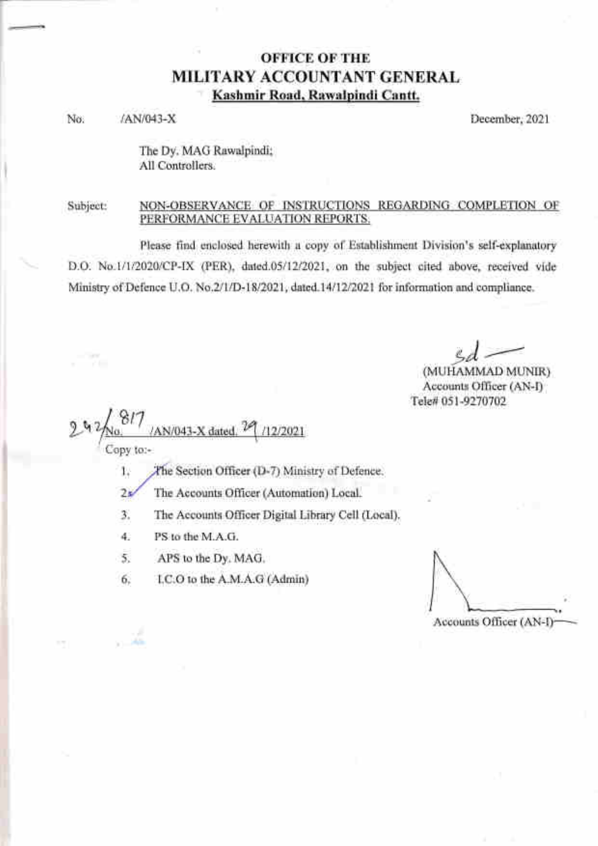### OFFICE OF THE MILITARY ACCOUNTANT GENERAL ' Kashmir Road, Rawalpindi Cantt.

No. /AN/043-X December, 2021

The Dy. MAG Rawalpindi; All Controllers.

#### Subject: NON-OBSERVANCE OF INSTRUCTIONS REGARDING COMPLETION OF PERFORMANCE EVALUATION REPORTS.

Please find enclosed herewith a copy of Establishment Division's self-explanatory D.O. No.1/1/2020/CP-IX (PER), dated.05/12/2021, on the subject cited above, received vide Ministry of Defence U.O. No.2/1/D-18/2021, dated.14/12/2021 for information and compliance.

sd  $-$ 

(MUHAMMAD MUNIR) Accounts Officer (AN-D Tele# 051-9270702

817 AN/043-X dated,  $^{\gamma\!\!\times}$  $2<sup>q</sup>$ 2/2021

Copy to:-

.,9 .tlis

. .r:i

- 1. The Section Officer (D-7) Ministry of Defence.
- $2\frac{1}{2}$ The Accounts Officer (Automation) Local.
- The Accounts Officer Digital Library Cell (Local). 3.
- PS to the M.A.G. 4.
- APS to the Dy. MAG. 5.
- LC.O to the A.M.A.G (Admin) 6.

Accounts Officer (AN-I)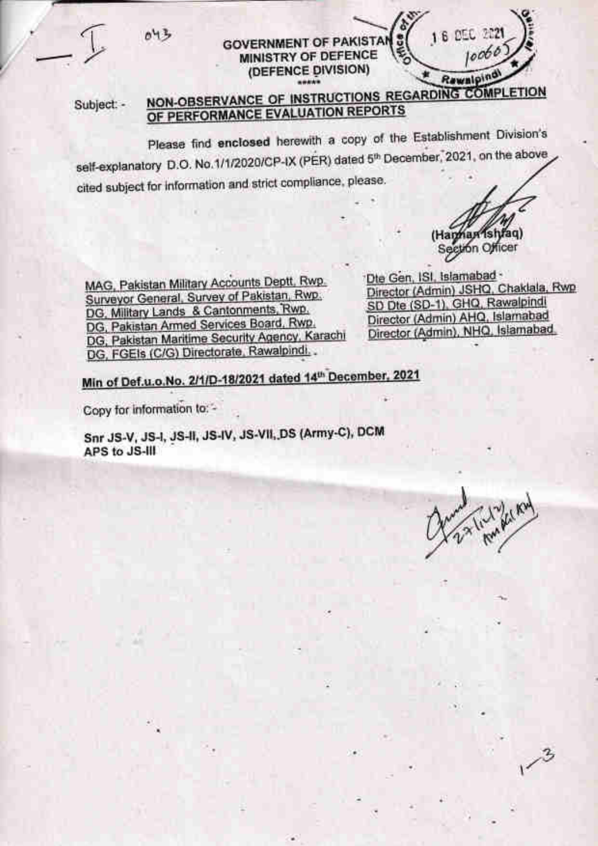

#### **GOVERNMENT OF PAKISTAN MINISTRY OF DEFENCE** (DEFENCE DIVISION)

#### Subject: -

## NON-OBSERVANCE OF INSTRUCTIONS REGARDING COMPLETION OF PERFORMANCE EVALUATION REPORTS

Please find enclosed herewith a copy of the Establishment Division's self-explanatory D.O. No.1/1/2020/CP-IX (PER) dated 5<sup>th</sup> December, 2021, on the above cited subject for information and strict compliance, please.

MAG, Pakistan Military Accounts Deptt, Rwp. Surveyor General, Survey of Pakistan, Rwp. DG, Military Lands & Cantonments, Rwp. DG, Pakistan Armed Services Board, Rwp. DG, Pakistan Maritime Security Agency, Karachi DG, FGEIs (C/G) Directorate, Rawalpindi,

Die Gen, ISI, Islamabad -Director (Admin) JSHQ, Chaklala, Rwp SD Dte (SD-1), GHQ, Rawalpindi Director (Admin) AHQ, Islamabad Director (Admin), NHQ, Islamabad,

(Haman Ishfaq) Section Officer

6 DEC 222

Rewalping

10060

Min of Def.u.o.No. 2/1/D-18/2021 dated 14th December, 2021

Copy for information to: -

Snr JS-V, JS-I, JS-II, JS-IV, JS-VII, DS (Army-C), DCM APS to JS-III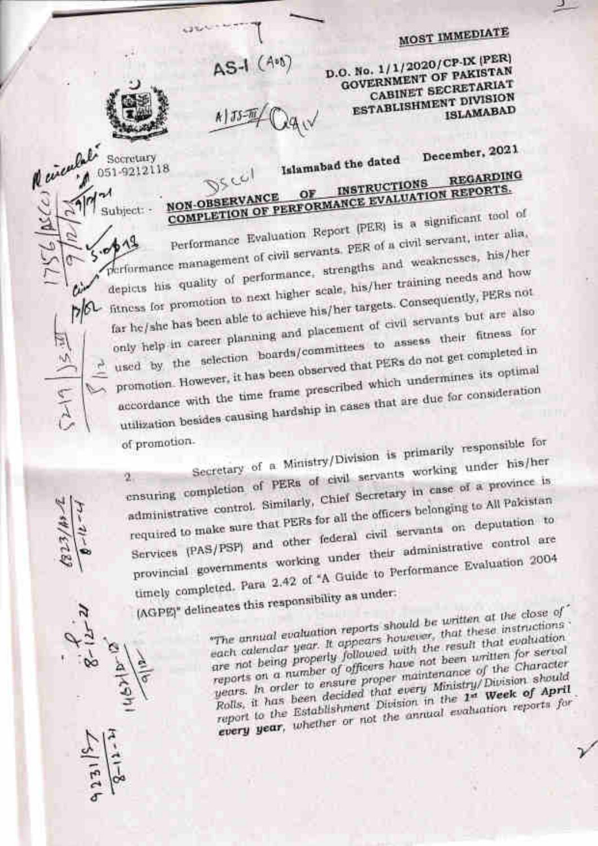# **MOST IMMEDIATE**



Socretary 051-9212118

Subject:

 $d^{\alpha}$ 

 $P/C$ 

 $\sim$ 

įŻ)

 $\frac{1}{2}$ 

 $\frac{1}{2}$ 

N einenlali

**ASC** 

AS-1 (40)

 $A$   $J5 - M$ 

D.O. No. 1/1/2020/CP-IX (PER) **GOVERNMENT OF PAKISTAN** CABINET SECRETARIAT **ESTABLISHMENT DIVISION ISLAMABAD** 

December, 2021

Islamabad the dated **REGARDING** ر رن **INSTRUCTIONS** COMPLETION OF PERFORMANCE EVALUATION REPORTS. **NON-OBSERVANCE** 

Performance Evaluation Report (PER) is a significant tool of performance management of civil servants. PER of a civil servant, inter alia, depicts his quality of performance, strengths and weaknesses, his/her fitness for promotion to next higher scale, his/her training needs and how far he/she has been able to achieve his/her targets. Consequently, PERs not only help in career planning and placement of civil servants but are also  $\triangle$  used by the selection boards/committees to assess their fitness for promotion. However, it has been observed that PERs do not get completed in accordance with the time frame prescribed which undermines its optimal utilization besides causing hardship in cases that are due for consideration

of promotion.

Secretary of a Ministry/Division is primarily responsible for ensuring completion of PERs of civil servants working under his/her administrative control. Similarly, Chief Secretary in case of a province is required to make sure that PERs for all the officers belonging to All Pakistan Services (PAS/PSP) and other federal civil servants on deputation to provincial governments working under their administrative control are timely completed. Para 2.42 of "A Guide to Performance Evaluation 2004 (AGPE)" delineates this responsibility as under:

"The annual evaluation reports should be written at the close of each calendar year. It appears however, that these instructions are not being property followed with the result that evaluation reports on a number of officers have not been uritten for serval years. In order to ensure proper maintenance of the Character Rolls, it has been decided that every Ministry/Division should report to the Establishment Division in the 1st Week of April every year, whether or not the annual evaluation reports for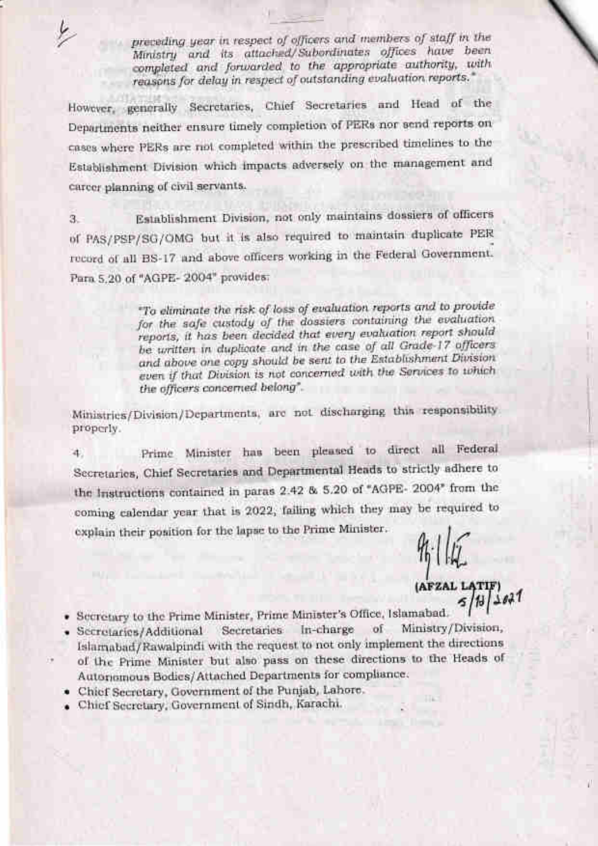preceding year in respect of officers and members of staff in the Ministry and its attached/Subordinates offices have been completed and forwarded to the appropriate authority, with reasons for delay in respect of outstanding evaluation reports."

However, generally Secretaries, Chief Secretaries and Head of the Departments neither ensure timely completion of PERs nor send reports on cases where PERs are not completed within the prescribed timelines to the Establishment Division which impacts adversely on the management and career planning of civil servants.

Establishment Division, not only maintains dossiers of officers 3. of PAS/PSP/SG/OMG but it is also required to maintain duplicate PER record of all BS-17 and above officers working in the Federal Government. Para 5.20 of "AGPE-2004" provides:

> "To eliminate the risk of loss of evaluation reports and to provide for the safe custody of the dossiers containing the evaluation reports, it has been decided that every evaluation report should be written in duplicate and in the case of all Grade-17 officers and above one copy should be sent to the Establishment Division even if that Division is not concerned with the Services to which the officers concerned belong".

Ministries/Division/Departments, are not discharging this responsibility properly.

Prime Minister has been pleased to direct all Federal 4. Secretaries, Chief Secretaries and Departmental Heads to strictly adhere to the Instructions contained in paras 2.42 & 5.20 of "AGPE- 2004" from the coming calendar year that is 2022, failing which they may be required to explain their position for the lapse to the Prime Minister.

(AFZAL LATIF)

- · Secretary to the Prime Minister, Prime Minister's Office, Islamabad.
- · Secretaries/Additional Secretaries In-charge Ministry/Division, of Islamabad/Rawalpindi with the request to not only implement the directions
- of the Prime Minister but also pass on these directions to the Heads of Autonomous Bodies/Attached Departments for compliance.
- · Chief Secretary, Government of the Punjab, Lahore.
- · Chief Secretary, Government of Sindh, Karachi.